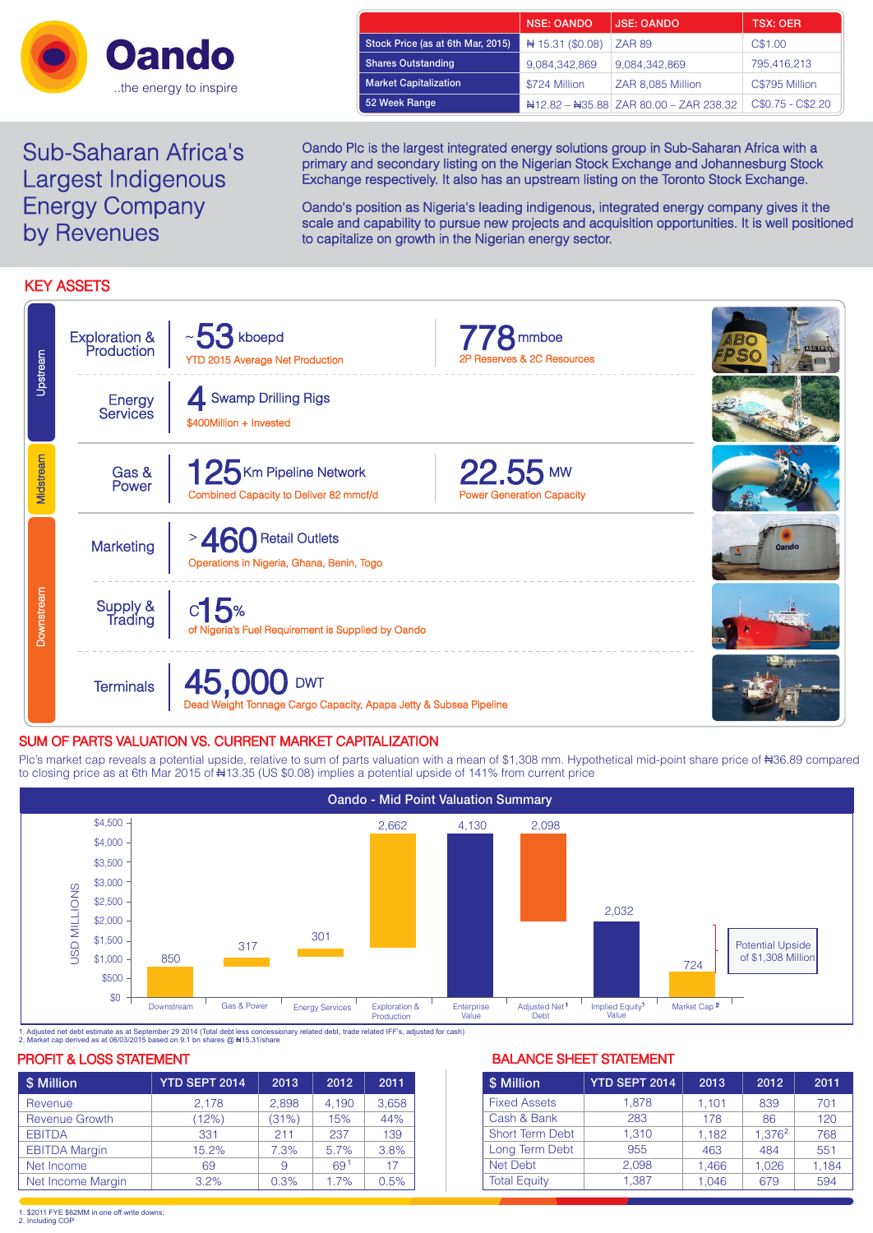

| <b>Sub-Saharan Africa's</b> |
|-----------------------------|
| Largest Indigenous          |
| <b>Energy Company</b>       |
| by Revenues                 |

|                                   | <b>NSE: OANDO</b> | <b>JSE: OANDO</b>                      | <b>TSX: OER</b>   |
|-----------------------------------|-------------------|----------------------------------------|-------------------|
| Stock Price (as at 6th Mar, 2015) | #15.31 (\$0.08)   | <b>ZAR 89</b>                          | C\$1.00           |
| <b>Shares Outstanding</b>         | 9,084,342,869     | 9,084,342,869                          | 795,416,213       |
| <b>Market Capitalization</b>      | \$724 Million     | ZAR 8,085 Million                      | C\$795 Million    |
| 52 Week Range                     |                   | #12.82 - #35.88 ZAR 80.00 - ZAR 238.32 | C\$0.75 - C\$2.20 |

Oando Plc is the largest integrated energy solutions group in Sub-Saharan Africa with a primary and secondary listing on the Nigerian Stock Exchange and Johannesburg Stock Exchange respectively. It also has an upstream listing on the Toronto Stock Exchange.

Oando's position as Nigeria's leading indigenous, integrated energy company gives it the scale and capability to pursue new projects and acquisition opportunities. It is well positioned to capitalize on growth in the Nigerian energy sector.

# KEY ASSETS

| Upstream   | <b>Exploration &amp;</b><br>Production | $~\sim$ 53 kboepd<br><b>YTD 2015 Average Net Production</b>                     | <b>8</b> mmboe<br>2P Reserves & 2C Resources   |              |
|------------|----------------------------------------|---------------------------------------------------------------------------------|------------------------------------------------|--------------|
|            | Energy<br><b>Services</b>              | Swamp Drilling Rigs<br>\$400Million + Invested                                  |                                                |              |
| Midstream  | Gas &<br>Power                         | 125 Km Pipeline Network<br>Combined Capacity to Deliver 82 mmcf/d               | $22.55$ MW<br><b>Power Generation Capacity</b> |              |
|            | Marketing                              | <b>Retail Outlets</b><br>Operations in Nigeria, Ghana, Benin, Togo              |                                                | <b>Oando</b> |
| Downstream | Supply &<br>Trading                    | $c$ 15%<br>of Nigeria's Fuel Requirement is Supplied by Oando                   |                                                |              |
|            | <b>Terminals</b>                       | 45,000 DWT<br>Dead Weight Tonnage Cargo Capacity, Apapa Jetty & Subsea Pipeline |                                                |              |

# SUM OF PARTS VALUATION VS. CURRENT MARKET CAPITALIZATION

Plc's market cap reveals a potential upside, relative to sum of parts valuation with a mean of \$1,308 mm. Hypothetical mid-point share price of #36.89 compared to closing price as at 6th Mar 2015 of #13.35 (US \$0.08) implies a potential upside of 141% from current price



1. Adjusted net debt estimate as at September 29 2014 (Total debt less concessionary related debt, trade related IFF's, adjusted for cash)<br>2. Market cap derived as at 06/03/2015 based on 9.1 bn shares @ ₦15.31/share

## PROFIT & LOSS STATEMENT **BALANCE SHEET STATEMENT**

| \$ Million            | <b>YTD SEPT 2014</b> | 2013  | 2012            | 2011  |
|-----------------------|----------------------|-------|-----------------|-------|
| Revenue               | 2.178                | 2.898 | 4.190           | 3,658 |
| <b>Revenue Growth</b> | (12%)                | (31%) | 15%             | 44%   |
| <b>EBITDA</b>         | 331                  | 211   | 237             | 139   |
| <b>EBITDA Margin</b>  | 15.2%                | 7.3%  | 5.7%            | 3.8%  |
| Net Income            | 69                   | 9     | 69 <sup>1</sup> | 17    |
| Net Income Margin     | 3.2%                 | 0.3%  | 1.7%            | 0.5%  |

| \$ Million             | <b>YTD SEPT 2014</b> | 2013  | 2012               | 2011  |
|------------------------|----------------------|-------|--------------------|-------|
| <b>Fixed Assets</b>    | 1.878                | 1.101 | 839                | 701   |
| Cash & Bank            | 283                  | 178   | 86                 | 120   |
| <b>Short Term Debt</b> | 1.310                | 1.182 | 1.376 <sup>2</sup> | 768   |
| Long Term Debt         | 955                  | 463   | 484                | 551   |
| <b>Net Debt</b>        | 2.098                | 1.466 | 1.026              | 1,184 |
| <b>Total Equity</b>    | 1.387                | 1.046 | 679                | 594   |

1. \$2011 FYE \$62MM in one off write downs; 2. Including COP